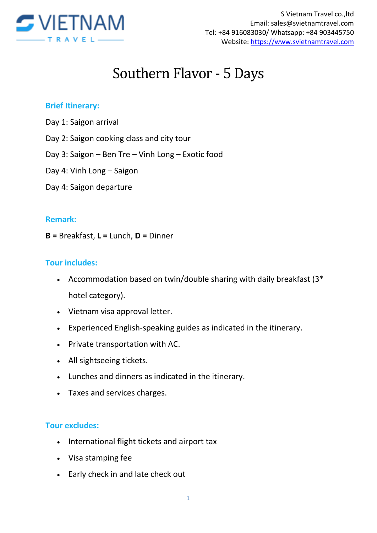

# Southern Flavor - 5 Days

## **Brief Itinerary:**

- Day 1: Saigon arrival
- Day 2: Saigon cooking class and city tour
- Day 3: Saigon Ben Tre Vinh Long Exotic food
- Day 4: Vinh Long Saigon
- Day 4: Saigon departure

### **Remark:**

**B =** Breakfast, **L =** Lunch, **D =** Dinner

### **Tour includes:**

- Accommodation based on twin/double sharing with daily breakfast (3\* hotel category).
- Vietnam visa approval letter.
- Experienced English-speaking guides as indicated in the itinerary.
- Private transportation with AC.
- All sightseeing tickets.
- Lunches and dinners as indicated in the itinerary.
- Taxes and services charges.

### **Tour excludes:**

- International flight tickets and airport tax
- Visa stamping fee
- Early check in and late check out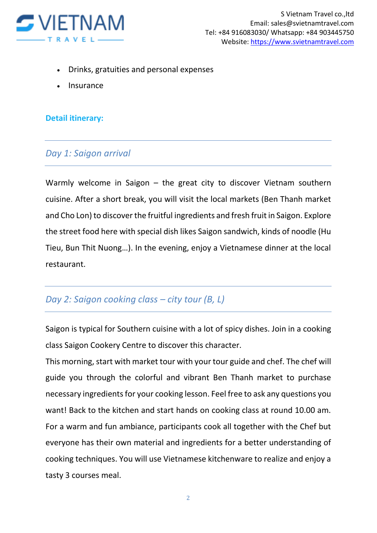

- Drinks, gratuities and personal expenses
- Insurance

## **Detail itinerary:**

## *Day 1: Saigon arrival*

Warmly welcome in Saigon – the great city to discover Vietnam southern cuisine. After a short break, you will visit the local markets (Ben Thanh market and Cho Lon) to discover the fruitful ingredients and fresh fruit in Saigon. Explore the street food here with special dish likes Saigon sandwich, kinds of noodle (Hu Tieu, Bun Thit Nuong…). In the evening, enjoy a Vietnamese dinner at the local restaurant.

# *Day 2: Saigon cooking class – city tour (B, L)*

Saigon is typical for Southern cuisine with a lot of spicy dishes. Join in a cooking class Saigon Cookery Centre to discover this character.

This morning, start with market tour with your tour guide and chef. The chef will guide you through the colorful and vibrant Ben Thanh market to purchase necessary ingredients for your cooking lesson. Feel free to ask any questions you want! Back to the kitchen and start hands on cooking class at round 10.00 am. For a warm and fun ambiance, participants cook all together with the Chef but everyone has their own material and ingredients for a better understanding of cooking techniques. You will use Vietnamese kitchenware to realize and enjoy a tasty 3 courses meal.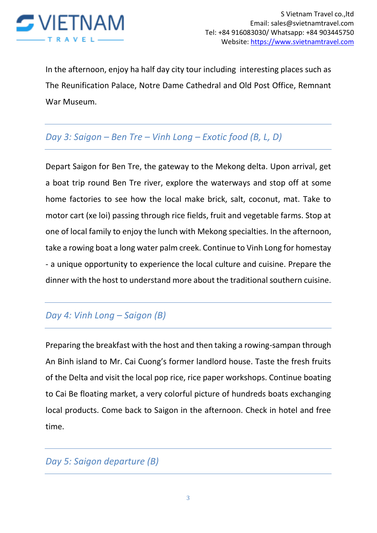

In the afternoon, enjoy ha half day city tour including interesting places such as The Reunification Palace, Notre Dame Cathedral and Old Post Office, Remnant War Museum.

## *Day 3: Saigon – Ben Tre – Vinh Long – Exotic food (B, L, D)*

Depart Saigon for Ben Tre, the gateway to the Mekong delta. Upon arrival, get a boat trip round Ben Tre river, explore the waterways and stop off at some home factories to see how the local make brick, salt, coconut, mat. Take to motor cart (xe loi) passing through rice fields, fruit and vegetable farms. Stop at one of local family to enjoy the lunch with Mekong specialties. In the afternoon, take a rowing boat a long water palm creek. Continue to Vinh Long for homestay - a unique opportunity to experience the local culture and cuisine. Prepare the dinner with the host to understand more about the traditional southern cuisine.

# *Day 4: Vinh Long – Saigon (B)*

Preparing the breakfast with the host and then taking a rowing-sampan through An Binh island to Mr. Cai Cuong's former landlord house. Taste the fresh fruits of the Delta and visit the local pop rice, rice paper workshops. Continue boating to Cai Be floating market, a very colorful picture of hundreds boats exchanging local products. Come back to Saigon in the afternoon. Check in hotel and free time.

## *Day 5: Saigon departure (B)*